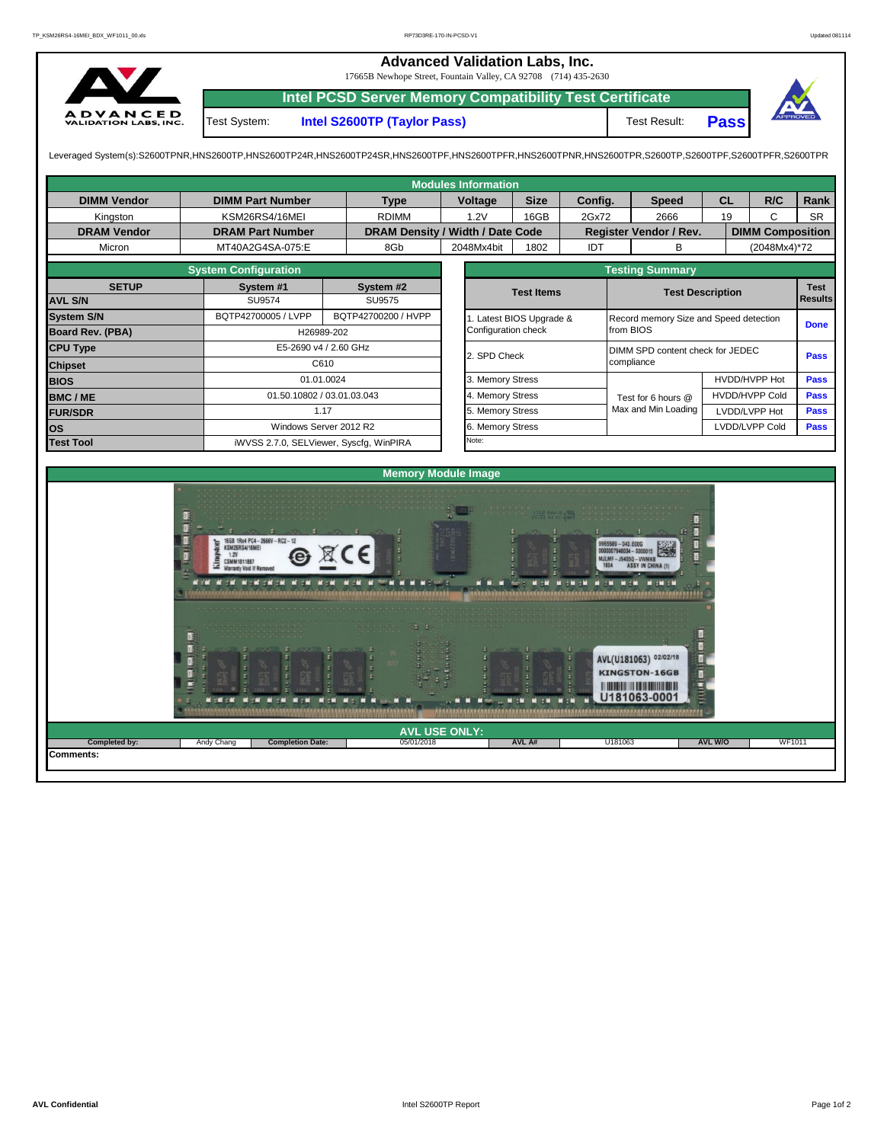| $\mathbf{\Omega}$                                                                                                                                                                                       |                         | <b>Advanced Validation Labs, Inc.</b><br>17665B Newhope Street, Fountain Valley, CA 92708 (714) 435-2630<br><b>Intel PCSD Server Memory Compatibility Test Certificate</b> |              |             |         |                               |             |              |                         |  |  |  |  |  |
|---------------------------------------------------------------------------------------------------------------------------------------------------------------------------------------------------------|-------------------------|----------------------------------------------------------------------------------------------------------------------------------------------------------------------------|--------------|-------------|---------|-------------------------------|-------------|--------------|-------------------------|--|--|--|--|--|
| <b>ADVANCED</b><br><b>VALIDATION LABS, INC.</b>                                                                                                                                                         | Test System:            | Intel S2600TP (Taylor Pass)                                                                                                                                                |              |             |         | Test Result:                  | <b>Pass</b> | ΔV,          |                         |  |  |  |  |  |
| Leveraged System(s):S2600TPNR,HNS2600TP,HNS2600TP24R,HNS2600TP24SR,HNS2600TPF,HNS2600TPFR,HNS2600TPNR,HNS2600TPR,S2600TP,S2600TPF,S2600TPFR,S2600TPFR,S2600TPFR,S2600TPR,<br><b>Modules Information</b> |                         |                                                                                                                                                                            |              |             |         |                               |             |              |                         |  |  |  |  |  |
| <b>DIMM Vendor</b>                                                                                                                                                                                      | <b>DIMM Part Number</b> | <b>Type</b>                                                                                                                                                                | Voltage      | <b>Size</b> | Config. | <b>Speed</b>                  | <b>CL</b>   | R/C          | Rank                    |  |  |  |  |  |
| Kingston                                                                                                                                                                                                | KSM26RS4/16MEI          | <b>RDIMM</b>                                                                                                                                                               | 16GB<br>1.2V |             | 2Gx72   | 2666                          | 19          | C            | <b>SR</b>               |  |  |  |  |  |
| <b>DRAM Vendor</b>                                                                                                                                                                                      | <b>DRAM Part Number</b> | DRAM Density / Width / Date Code                                                                                                                                           |              |             |         | <b>Register Vendor / Rev.</b> |             |              | <b>DIMM Composition</b> |  |  |  |  |  |
| Micron                                                                                                                                                                                                  | MT40A2G4SA-075:E        | 8Gb                                                                                                                                                                        | 2048Mx4bit   | 1802        | IDT     | в                             |             | (2048Mx4)*72 |                         |  |  |  |  |  |

|                         | <b>System Configuration</b>              |                        |  |                       | <b>Testing Summary</b>                 |                       |                |  |
|-------------------------|------------------------------------------|------------------------|--|-----------------------|----------------------------------------|-----------------------|----------------|--|
| <b>SETUP</b>            | System #1<br>System #2                   |                        |  | <b>Test Items</b>     | <b>Test Description</b>                | <b>Test</b>           |                |  |
| <b>AVL S/N</b>          | SU9574                                   | SU9575                 |  |                       |                                        |                       | <b>Results</b> |  |
| <b>System S/N</b>       | BQTP42700005 / LVPP                      | BQTP42700200 / HVPP    |  | Latest BIOS Upgrade & | Record memory Size and Speed detection |                       | <b>Done</b>    |  |
| <b>Board Rev. (PBA)</b> |                                          | H26989-202             |  | Configuration check   | from BIOS                              |                       |                |  |
| <b>CPU Type</b>         | E5-2690 v4 / 2.60 GHz                    |                        |  | 2. SPD Check          | DIMM SPD content check for JEDEC       | <b>Pass</b>           |                |  |
| <b>Chipset</b>          | C610                                     |                        |  |                       | compliance                             |                       |                |  |
| <b>BIOS</b>             | 01.01.0024<br>01.50.10802 / 03.01.03.043 |                        |  | 3. Memory Stress      |                                        | HVDD/HVPP Hot         | <b>Pass</b>    |  |
| <b>BMC/ME</b>           |                                          |                        |  | 4. Memory Stress      | Test for 6 hours @                     | <b>HVDD/HVPP Cold</b> | <b>Pass</b>    |  |
| <b>FUR/SDR</b>          | 1.17                                     |                        |  | 5. Memory Stress      | Max and Min Loading                    | LVDD/LVPP Hot         | <b>Pass</b>    |  |
| lOS.                    |                                          | Windows Server 2012 R2 |  | 6. Memory Stress      |                                        | <b>Pass</b>           |                |  |
| <b>Test Tool</b>        | iWVSS 2.7.0, SELViewer, Syscfq, WinPIRA  |                        |  | Note:                 |                                        |                       |                |  |